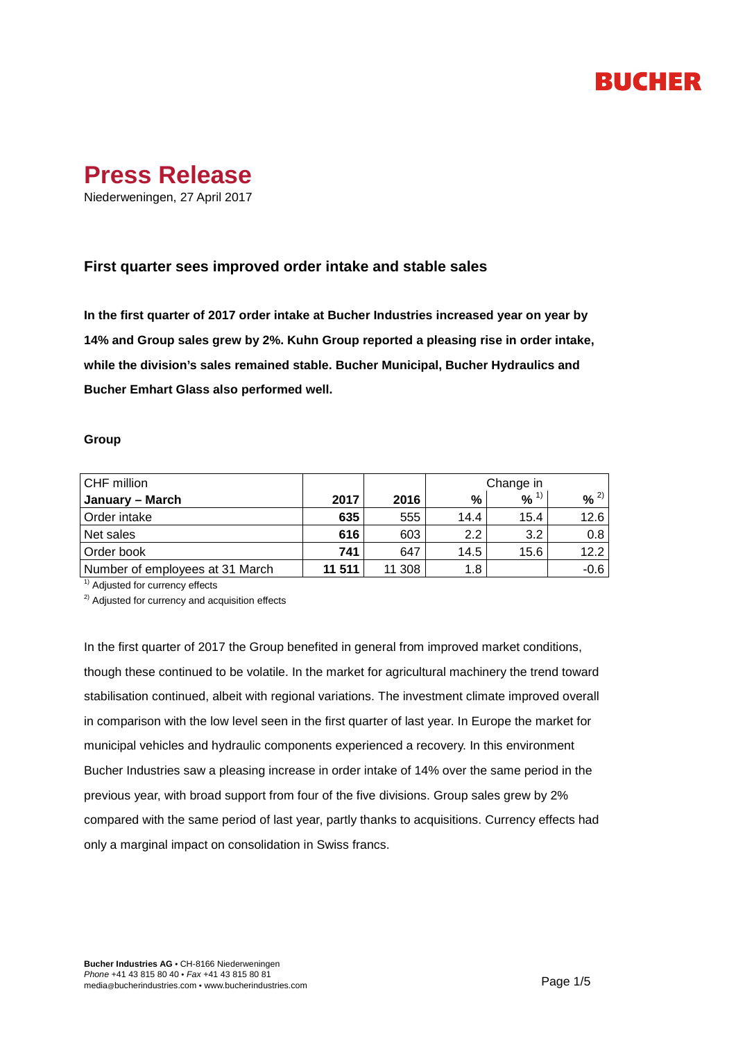# **BUCHER**



# **First quarter sees improved order intake and stable sales**

**In the first quarter of 2017 order intake at Bucher Industries increased year on year by 14% and Group sales grew by 2%. Kuhn Group reported a pleasing rise in order intake, while the division's sales remained stable. Bucher Municipal, Bucher Hydraulics and Bucher Emhart Glass also performed well.** 

# **Group**

| CHF million                     |        |        | Change in |          |         |
|---------------------------------|--------|--------|-----------|----------|---------|
| January – March                 | 2017   | 2016   | %         | $% ^{1}$ | 2)<br>% |
| Order intake                    | 635    | 555    | 14.4      | 15.4     | 12.6    |
| Net sales                       | 616    | 603    | 2.2       | 3.2      | 0.8     |
| Order book                      | 741    | 647    | 14.5      | 15.6     | 12.2    |
| Number of employees at 31 March | 11 511 | 11 308 | 1.8       |          | $-0.6$  |

 $<sup>1)</sup>$  Adjusted for currency effects</sup>

<sup>2)</sup> Adjusted for currency and acquisition effects

In the first quarter of 2017 the Group benefited in general from improved market conditions, though these continued to be volatile. In the market for agricultural machinery the trend toward stabilisation continued, albeit with regional variations. The investment climate improved overall in comparison with the low level seen in the first quarter of last year. In Europe the market for municipal vehicles and hydraulic components experienced a recovery. In this environment Bucher Industries saw a pleasing increase in order intake of 14% over the same period in the previous year, with broad support from four of the five divisions. Group sales grew by 2% compared with the same period of last year, partly thanks to acquisitions. Currency effects had only a marginal impact on consolidation in Swiss francs.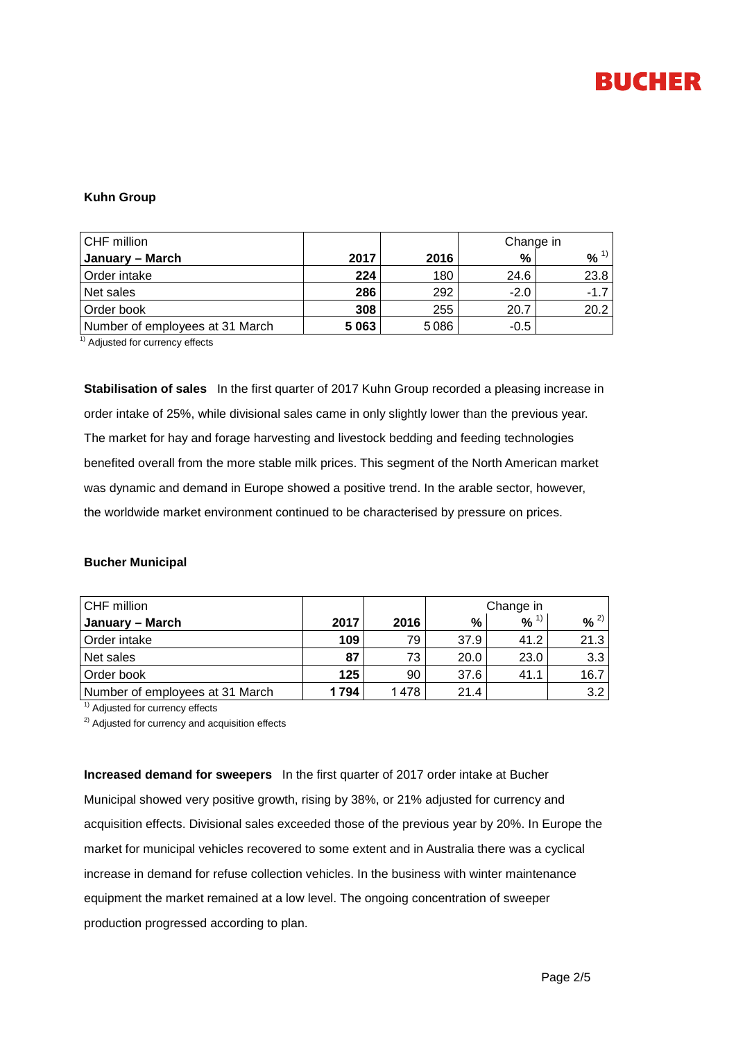

### **Kuhn Group**

| CHF million                     |      |      | Change in |        |  |
|---------------------------------|------|------|-----------|--------|--|
| January – March                 | 2017 | 2016 | %         | %      |  |
| Order intake                    | 224  | 180  | 24.6      | 23.8   |  |
| Net sales                       | 286  | 292  | $-2.0$    | $-1.7$ |  |
| Order book                      | 308  | 255  | 20.7      | 20.2   |  |
| Number of employees at 31 March | 5063 | 5086 | -0.5      |        |  |

<sup>1)</sup> Adjusted for currency effects

**Stabilisation of sales** In the first quarter of 2017 Kuhn Group recorded a pleasing increase in order intake of 25%, while divisional sales came in only slightly lower than the previous year. The market for hay and forage harvesting and livestock bedding and feeding technologies benefited overall from the more stable milk prices. This segment of the North American market was dynamic and demand in Europe showed a positive trend. In the arable sector, however, the worldwide market environment continued to be characterised by pressure on prices.

### **Bucher Municipal**

| CHF million                     |      |      | Change in |                     |                  |  |
|---------------------------------|------|------|-----------|---------------------|------------------|--|
| January – March                 | 2017 | 2016 | %         | $9/6$ <sup>1)</sup> | $96^{2)}$        |  |
| Order intake                    | 109  | 79   | 37.9      | 41.2                | 21.3             |  |
| Net sales                       | 87   | 73   | 20.0      | 23.0                | 3.3 <sup>1</sup> |  |
| Order book                      | 125  | 90   | 37.6      | 41.1                | 16.7             |  |
| Number of employees at 31 March | 1794 | 1478 | 21.4      |                     | 3.2              |  |

 $<sup>1)</sup>$  Adjusted for currency effects</sup>

<sup>2)</sup> Adjusted for currency and acquisition effects

**Increased demand for sweepers** In the first quarter of 2017 order intake at Bucher Municipal showed very positive growth, rising by 38%, or 21% adjusted for currency and acquisition effects. Divisional sales exceeded those of the previous year by 20%. In Europe the market for municipal vehicles recovered to some extent and in Australia there was a cyclical increase in demand for refuse collection vehicles. In the business with winter maintenance equipment the market remained at a low level. The ongoing concentration of sweeper production progressed according to plan.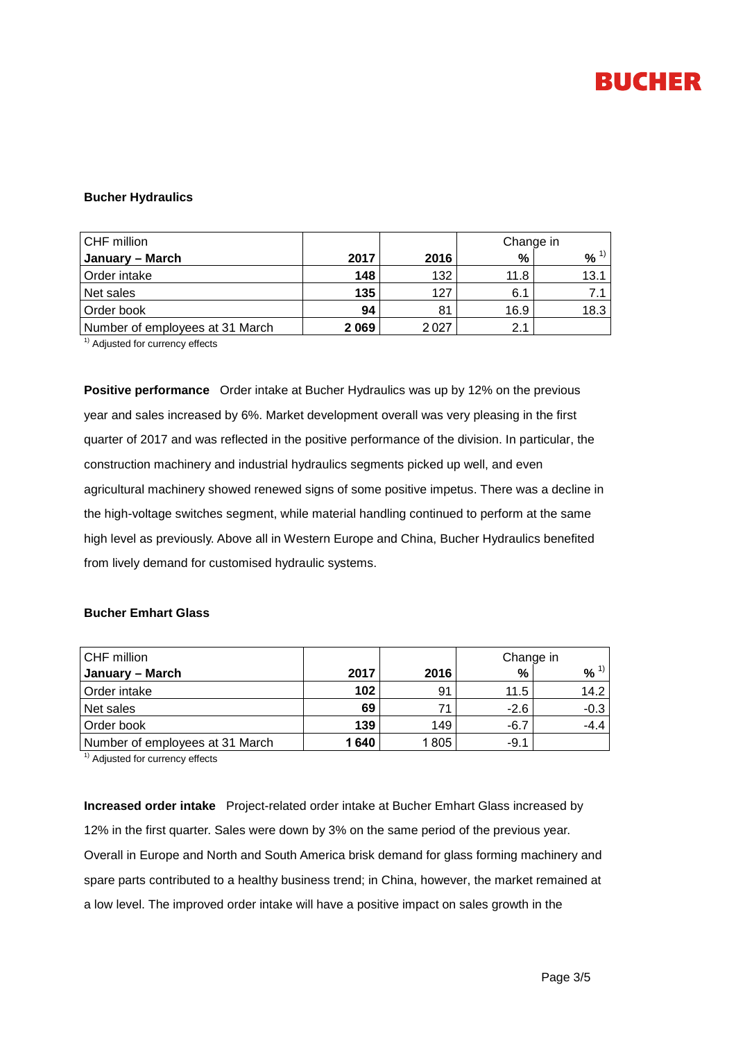# **BUCHER**

#### **Bucher Hydraulics**

| CHF million                     |      |      | Change in |      |  |
|---------------------------------|------|------|-----------|------|--|
| January – March                 | 2017 | 2016 | %         | %    |  |
| Order intake                    | 148  | 132  | 11.8      | 13.1 |  |
| Net sales                       | 135  | 127  | 6.1       | 7.1  |  |
| Order book                      | 94   | 81   | 16.9      | 18.3 |  |
| Number of employees at 31 March | 2069 | 2027 | 2.1       |      |  |

 $\overline{1)}$  Adjusted for currency effects

**Positive performance** Order intake at Bucher Hydraulics was up by 12% on the previous year and sales increased by 6%. Market development overall was very pleasing in the first quarter of 2017 and was reflected in the positive performance of the division. In particular, the construction machinery and industrial hydraulics segments picked up well, and even agricultural machinery showed renewed signs of some positive impetus. There was a decline in the high-voltage switches segment, while material handling continued to perform at the same high level as previously. Above all in Western Europe and China, Bucher Hydraulics benefited from lively demand for customised hydraulic systems.

# **Bucher Emhart Glass**

| CHF million                     |      |      | Change in |        |  |
|---------------------------------|------|------|-----------|--------|--|
| January – March                 | 2017 | 2016 | %         | $\%$   |  |
| Order intake                    | 102  | 91   | 11.5      | 14.2   |  |
| Net sales                       | 69   |      | $-2.6$    | $-0.3$ |  |
| Order book                      | 139  | 149  | $-6.7$    | $-4.4$ |  |
| Number of employees at 31 March | 1640 | 1805 | $-9.1$    |        |  |

 $1)$  Adjusted for currency effects

**Increased order intake** Project-related order intake at Bucher Emhart Glass increased by 12% in the first quarter. Sales were down by 3% on the same period of the previous year. Overall in Europe and North and South America brisk demand for glass forming machinery and spare parts contributed to a healthy business trend; in China, however, the market remained at a low level. The improved order intake will have a positive impact on sales growth in the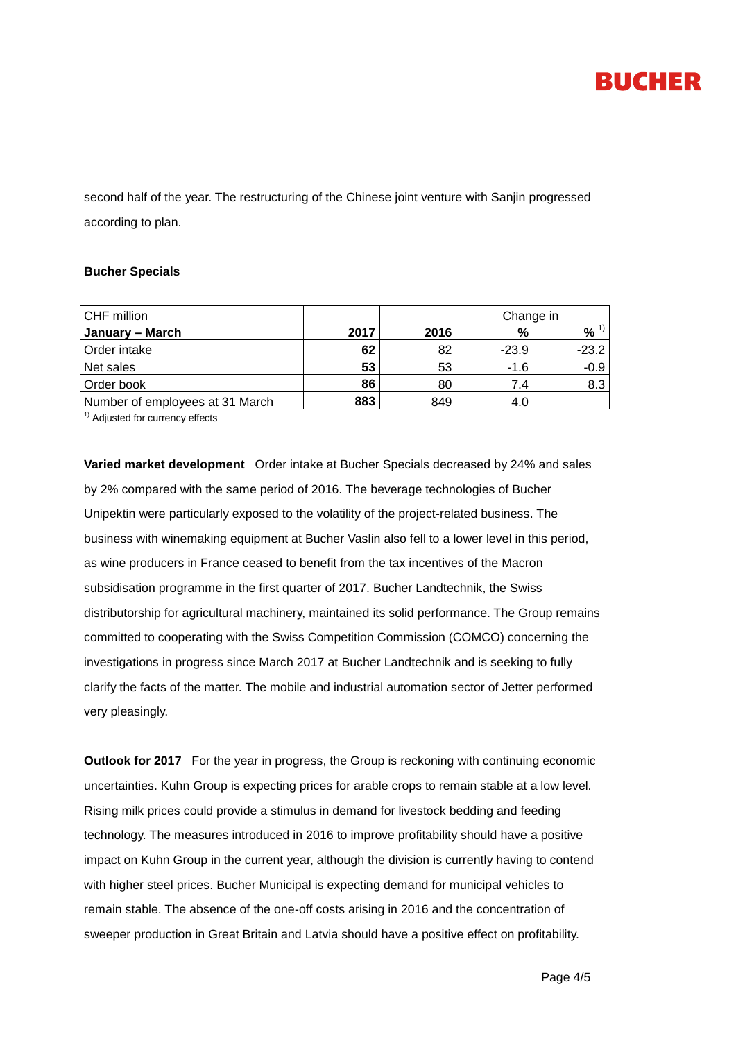

second half of the year. The restructuring of the Chinese joint venture with Sanjin progressed according to plan.

#### **Bucher Specials**

| CHF million                     |      |      | Change in |          |  |
|---------------------------------|------|------|-----------|----------|--|
| January – March                 | 2017 | 2016 | %         | $% ^{1}$ |  |
| Order intake                    | 62   | 82   | $-23.9$   | $-23.2$  |  |
| Net sales                       | 53   | 53   | $-1.6$    | $-0.9$   |  |
| Order book                      | 86   | 80   | 7.4       | 8.3      |  |
| Number of employees at 31 March | 883  | 849  | 4.0       |          |  |

<sup>1)</sup> Adjusted for currency effects

**Varied market development** Order intake at Bucher Specials decreased by 24% and sales by 2% compared with the same period of 2016. The beverage technologies of Bucher Unipektin were particularly exposed to the volatility of the project-related business. The business with winemaking equipment at Bucher Vaslin also fell to a lower level in this period, as wine producers in France ceased to benefit from the tax incentives of the Macron subsidisation programme in the first quarter of 2017. Bucher Landtechnik, the Swiss distributorship for agricultural machinery, maintained its solid performance. The Group remains committed to cooperating with the Swiss Competition Commission (COMCO) concerning the investigations in progress since March 2017 at Bucher Landtechnik and is seeking to fully clarify the facts of the matter. The mobile and industrial automation sector of Jetter performed very pleasingly.

**Outlook for 2017** For the year in progress, the Group is reckoning with continuing economic uncertainties. Kuhn Group is expecting prices for arable crops to remain stable at a low level. Rising milk prices could provide a stimulus in demand for livestock bedding and feeding technology. The measures introduced in 2016 to improve profitability should have a positive impact on Kuhn Group in the current year, although the division is currently having to contend with higher steel prices. Bucher Municipal is expecting demand for municipal vehicles to remain stable. The absence of the one-off costs arising in 2016 and the concentration of sweeper production in Great Britain and Latvia should have a positive effect on profitability.